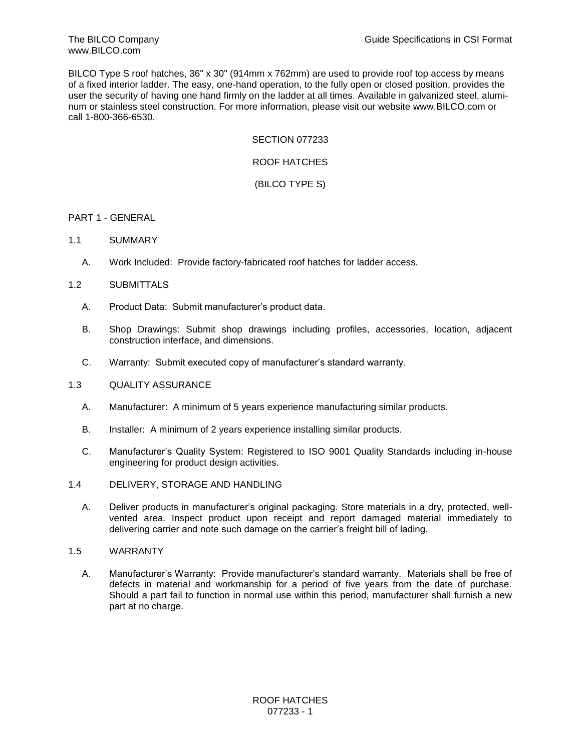BILCO Type S roof hatches, 36" x 30" (914mm x 762mm) are used to provide roof top access by means of a fixed interior ladder. The easy, one-hand operation, to the fully open or closed position, provides the user the security of having one hand firmly on the ladder at all times. Available in galvanized steel, aluminum or stainless steel construction. For more information, please visit our website www.BILCO.com or call 1-800-366-6530.

### SECTION 077233

# ROOF HATCHES

# (BILCO TYPE S)

# PART 1 - GENERAL

- 1.1 SUMMARY
	- A. Work Included: Provide factory-fabricated roof hatches for ladder access.

# 1.2 SUBMITTALS

- A. Product Data: Submit manufacturer's product data.
- B. Shop Drawings: Submit shop drawings including profiles, accessories, location, adjacent construction interface, and dimensions.
- C. Warranty: Submit executed copy of manufacturer's standard warranty.

#### 1.3 QUALITY ASSURANCE

- A. Manufacturer: A minimum of 5 years experience manufacturing similar products.
- B. Installer: A minimum of 2 years experience installing similar products.
- C. Manufacturer's Quality System: Registered to ISO 9001 Quality Standards including in-house engineering for product design activities.
- 1.4 DELIVERY, STORAGE AND HANDLING
	- A. Deliver products in manufacturer's original packaging. Store materials in a dry, protected, wellvented area. Inspect product upon receipt and report damaged material immediately to delivering carrier and note such damage on the carrier's freight bill of lading.
- 1.5 WARRANTY
	- A. Manufacturer's Warranty: Provide manufacturer's standard warranty. Materials shall be free of defects in material and workmanship for a period of five years from the date of purchase. Should a part fail to function in normal use within this period, manufacturer shall furnish a new part at no charge.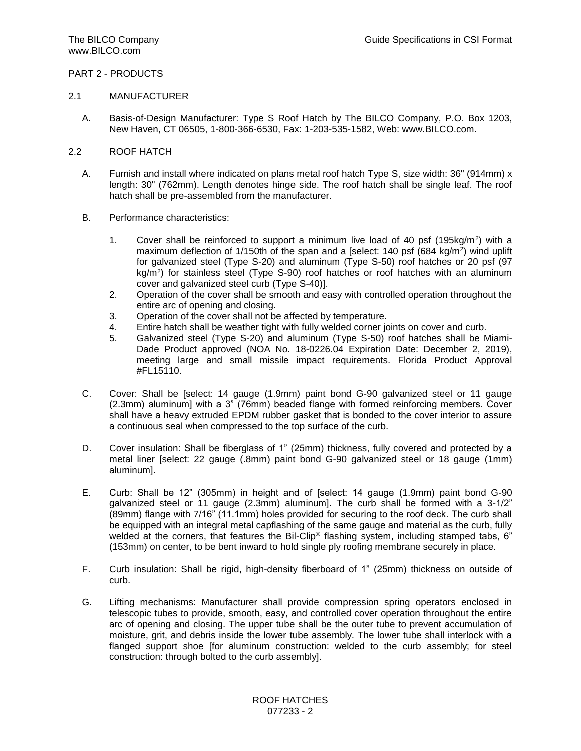# PART 2 - PRODUCTS

### 2.1 MANUFACTURER

- A. Basis-of-Design Manufacturer: Type S Roof Hatch by The BILCO Company, P.O. Box 1203, New Haven, CT 06505, 1-800-366-6530, Fax: 1-203-535-1582, Web: www.BILCO.com.
- 2.2 ROOF HATCH
	- A. Furnish and install where indicated on plans metal roof hatch Type S, size width: 36" (914mm) x length: 30" (762mm). Length denotes hinge side. The roof hatch shall be single leaf. The roof hatch shall be pre-assembled from the manufacturer.
	- B. Performance characteristics:
		- 1. Cover shall be reinforced to support a minimum live load of 40 psf  $(195kg/m<sup>2</sup>)$  with a maximum deflection of 1/150th of the span and a [select: 140 psf (684 kg/m<sup>2</sup>) wind uplift for galvanized steel (Type S-20) and aluminum (Type S-50) roof hatches or 20 psf (97 kg/m<sup>2</sup> ) for stainless steel (Type S-90) roof hatches or roof hatches with an aluminum cover and galvanized steel curb (Type S-40)].
		- 2. Operation of the cover shall be smooth and easy with controlled operation throughout the entire arc of opening and closing.
		- 3. Operation of the cover shall not be affected by temperature.
		- 4. Entire hatch shall be weather tight with fully welded corner joints on cover and curb.
		- 5. Galvanized steel (Type S-20) and aluminum (Type S-50) roof hatches shall be Miami-Dade Product approved (NOA No. 18-0226.04 Expiration Date: December 2, 2019), meeting large and small missile impact requirements. Florida Product Approval #FL15110.
	- C. Cover: Shall be [select: 14 gauge (1.9mm) paint bond G-90 galvanized steel or 11 gauge (2.3mm) aluminum] with a 3" (76mm) beaded flange with formed reinforcing members. Cover shall have a heavy extruded EPDM rubber gasket that is bonded to the cover interior to assure a continuous seal when compressed to the top surface of the curb.
	- D. Cover insulation: Shall be fiberglass of 1" (25mm) thickness, fully covered and protected by a metal liner [select: 22 gauge (.8mm) paint bond G-90 galvanized steel or 18 gauge (1mm) aluminum].
	- E. Curb: Shall be 12" (305mm) in height and of [select: 14 gauge (1.9mm) paint bond G-90 galvanized steel or 11 gauge (2.3mm) aluminum]. The curb shall be formed with a 3-1/2" (89mm) flange with 7/16" (11.1mm) holes provided for securing to the roof deck. The curb shall be equipped with an integral metal capflashing of the same gauge and material as the curb, fully welded at the corners, that features the Bil-Clip® flashing system, including stamped tabs, 6" (153mm) on center, to be bent inward to hold single ply roofing membrane securely in place.
	- F. Curb insulation: Shall be rigid, high-density fiberboard of 1" (25mm) thickness on outside of curb.
	- G. Lifting mechanisms: Manufacturer shall provide compression spring operators enclosed in telescopic tubes to provide, smooth, easy, and controlled cover operation throughout the entire arc of opening and closing. The upper tube shall be the outer tube to prevent accumulation of moisture, grit, and debris inside the lower tube assembly. The lower tube shall interlock with a flanged support shoe [for aluminum construction: welded to the curb assembly; for steel construction: through bolted to the curb assembly].